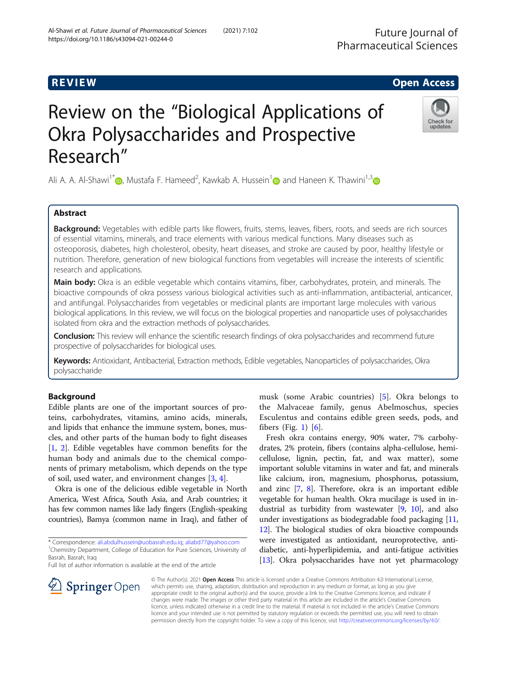# Review on the "Biological Applications of Okra Polysaccharides and Prospective Research"

Ali A. A. Al-Shawi<sup>1\*</sup> [,](http://orcid.org/0000-0002-0690-4612) Mustafa F. Hameed<sup>2</sup>, Kawkab A. Hussein<sup>[1](https://orcid.org/0000-0001-9796-0929)</sup> and Haneen K. Thawini<sup>1,3</sup>

## Abstract

Background: Vegetables with edible parts like flowers, fruits, stems, leaves, fibers, roots, and seeds are rich sources of essential vitamins, minerals, and trace elements with various medical functions. Many diseases such as osteoporosis, diabetes, high cholesterol, obesity, heart diseases, and stroke are caused by poor, healthy lifestyle or nutrition. Therefore, generation of new biological functions from vegetables will increase the interests of scientific research and applications.

Main body: Okra is an edible vegetable which contains vitamins, fiber, carbohydrates, protein, and minerals. The bioactive compounds of okra possess various biological activities such as anti-inflammation, antibacterial, anticancer, and antifungal. Polysaccharides from vegetables or medicinal plants are important large molecules with various biological applications. In this review, we will focus on the biological properties and nanoparticle uses of polysaccharides isolated from okra and the extraction methods of polysaccharides.

Conclusion: This review will enhance the scientific research findings of okra polysaccharides and recommend future prospective of polysaccharides for biological uses.

Keywords: Antioxidant, Antibacterial, Extraction methods, Edible vegetables, Nanoparticles of polysaccharides, Okra polysaccharide

### Background

Edible plants are one of the important sources of proteins, carbohydrates, vitamins, amino acids, minerals, and lipids that enhance the immune system, bones, muscles, and other parts of the human body to fight diseases [[1,](#page-3-0) [2](#page-3-0)]. Edible vegetables have common benefits for the human body and animals due to the chemical components of primary metabolism, which depends on the type of soil, used water, and environment changes [[3,](#page-3-0) [4\]](#page-3-0).

Okra is one of the delicious edible vegetable in North America, West Africa, South Asia, and Arab countries; it has few common names like lady fingers (English-speaking countries), Bamya (common name in Iraq), and father of

\* Correspondence: [ali.abdulhussein@uobasrah.edu.iq](mailto:ali.abdulhussein@uobasrah.edu.iq); [aliabd77@yahoo.com](mailto:aliabd77@yahoo.com) <sup>1</sup> <sup>1</sup>Chemistry Department, College of Education for Pure Sciences, University of Basrah, Basrah, Iraq

Full list of author information is available at the end of the article

musk (some Arabic countries) [[5](#page-4-0)]. Okra belongs to the Malvaceae family, genus Abelmoschus, species Esculentus and contains edible green seeds, pods, and fibers (Fig. [1\)](#page-1-0)  $[6]$  $[6]$  $[6]$ .

Fresh okra contains energy, 90% water, 7% carbohydrates, 2% protein, fibers (contains alpha-cellulose, hemicellulose, lignin, pectin, fat, and wax matter), some important soluble vitamins in water and fat, and minerals like calcium, iron, magnesium, phosphorus, potassium, and zinc [[7](#page-4-0), [8](#page-4-0)]. Therefore, okra is an important edible vegetable for human health. Okra mucilage is used in industrial as turbidity from wastewater  $[9, 10]$  $[9, 10]$  $[9, 10]$  $[9, 10]$  $[9, 10]$ , and also under investigations as biodegradable food packaging [[11](#page-4-0), [12](#page-4-0)]. The biological studies of okra bioactive compounds were investigated as antioxidant, neuroprotective, antidiabetic, anti-hyperlipidemia, and anti-fatigue activities [[13](#page-4-0)]. Okra polysaccharides have not yet pharmacology

© The Author(s). 2021 Open Access This article is licensed under a Creative Commons Attribution 4.0 International License, which permits use, sharing, adaptation, distribution and reproduction in any medium or format, as long as you give appropriate credit to the original author(s) and the source, provide a link to the Creative Commons licence, and indicate if changes were made. The images or other third party material in this article are included in the article's Creative Commons licence, unless indicated otherwise in a credit line to the material. If material is not included in the article's Creative Commons licence and your intended use is not permitted by statutory regulation or exceeds the permitted use, you will need to obtain permission directly from the copyright holder. To view a copy of this licence, visit <http://creativecommons.org/licenses/by/4.0/>.



**REVIEW CONSTRUCTION CONSTRUCTION CONSTRUCTS**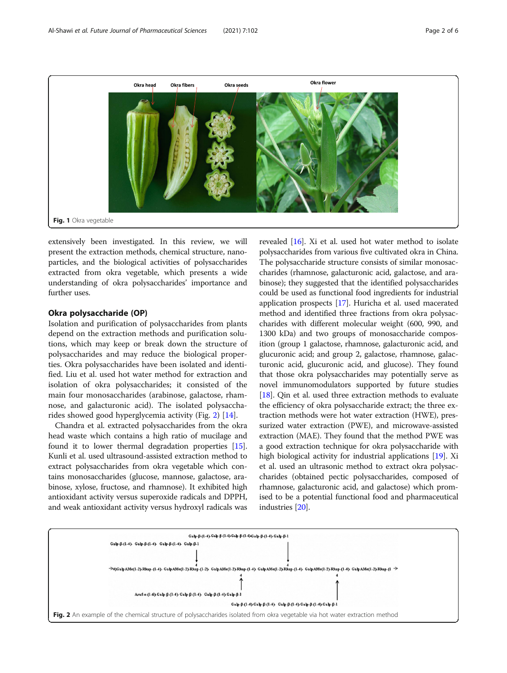<span id="page-1-0"></span>

extensively been investigated. In this review, we will present the extraction methods, chemical structure, nanoparticles, and the biological activities of polysaccharides extracted from okra vegetable, which presents a wide understanding of okra polysaccharides' importance and further uses.

#### Okra polysaccharide (OP)

Isolation and purification of polysaccharides from plants depend on the extraction methods and purification solutions, which may keep or break down the structure of polysaccharides and may reduce the biological properties. Okra polysaccharides have been isolated and identified. Liu et al. used hot water method for extraction and isolation of okra polysaccharides; it consisted of the main four monosaccharides (arabinose, galactose, rhamnose, and galacturonic acid). The isolated polysaccharides showed good hyperglycemia activity (Fig. 2) [\[14](#page-4-0)].

Chandra et al. extracted polysaccharides from the okra head waste which contains a high ratio of mucilage and found it to lower thermal degradation properties [[15](#page-4-0)]. Kunli et al. used ultrasound-assisted extraction method to extract polysaccharides from okra vegetable which contains monosaccharides (glucose, mannose, galactose, arabinose, xylose, fructose, and rhamnose). It exhibited high antioxidant activity versus superoxide radicals and DPPH, and weak antioxidant activity versus hydroxyl radicals was

revealed [[16](#page-4-0)]. Xi et al. used hot water method to isolate polysaccharides from various five cultivated okra in China. The polysaccharide structure consists of similar monosaccharides (rhamnose, galacturonic acid, galactose, and arabinose); they suggested that the identified polysaccharides could be used as functional food ingredients for industrial application prospects [\[17\]](#page-4-0). Huricha et al. used macerated method and identified three fractions from okra polysaccharides with different molecular weight (600, 990, and 1300 kDa) and two groups of monosaccharide composition (group 1 galactose, rhamnose, galacturonic acid, and glucuronic acid; and group 2, galactose, rhamnose, galacturonic acid, glucuronic acid, and glucose). They found that those okra polysaccharides may potentially serve as novel immunomodulators supported by future studies [[18](#page-4-0)]. Qin et al. used three extraction methods to evaluate the efficiency of okra polysaccharide extract; the three extraction methods were hot water extraction (HWE), pressurized water extraction (PWE), and microwave-assisted extraction (MAE). They found that the method PWE was a good extraction technique for okra polysaccharide with high biological activity for industrial applications [[19\]](#page-4-0). Xi et al. used an ultrasonic method to extract okra polysaccharides (obtained pectic polysaccharides, composed of rhamnose, galacturonic acid, and galactose) which promised to be a potential functional food and pharmaceutical industries [\[20](#page-4-0)].

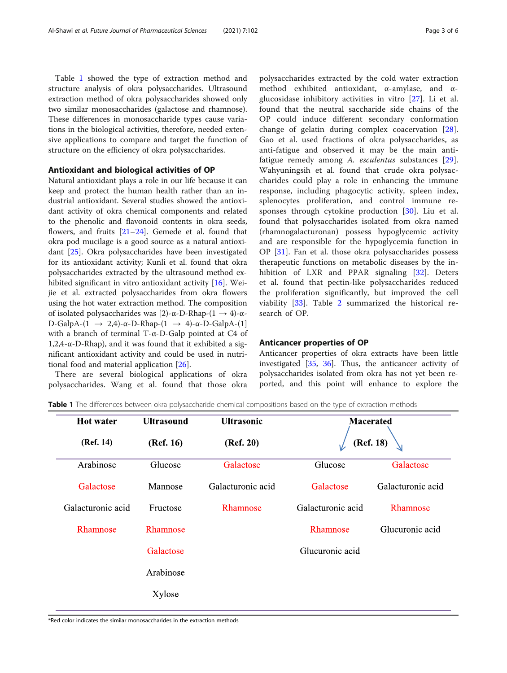Table 1 showed the type of extraction method and structure analysis of okra polysaccharides. Ultrasound extraction method of okra polysaccharides showed only two similar monosaccharides (galactose and rhamnose). These differences in monosaccharide types cause variations in the biological activities, therefore, needed extensive applications to compare and target the function of structure on the efficiency of okra polysaccharides.

#### Antioxidant and biological activities of OP

Natural antioxidant plays a role in our life because it can keep and protect the human health rather than an industrial antioxidant. Several studies showed the antioxidant activity of okra chemical components and related to the phenolic and flavonoid contents in okra seeds, flowers, and fruits [\[21](#page-4-0)–[24\]](#page-4-0). Gemede et al. found that okra pod mucilage is a good source as a natural antioxidant [[25](#page-4-0)]. Okra polysaccharides have been investigated for its antioxidant activity; Kunli et al. found that okra polysaccharides extracted by the ultrasound method exhibited significant in vitro antioxidant activity [[16\]](#page-4-0). Weijie et al. extracted polysaccharides from okra flowers using the hot water extraction method. The composition of isolated polysaccharides was [2)-α-D-Rhap-(1  $\rightarrow$  4)-α-D-GalpA-(1  $\rightarrow$  2,4)-α-D-Rhap-(1  $\rightarrow$  4)-α-D-GalpA-(1] with a branch of terminal T-α-D-Galp pointed at C4 of 1,2,4-α-D-Rhap), and it was found that it exhibited a significant antioxidant activity and could be used in nutritional food and material application [\[26](#page-4-0)].

There are several biological applications of okra polysaccharides. Wang et al. found that those okra polysaccharides extracted by the cold water extraction method exhibited antioxidant, α-amylase, and αglucosidase inhibitory activities in vitro [[27\]](#page-4-0). Li et al. found that the neutral saccharide side chains of the OP could induce different secondary conformation change of gelatin during complex coacervation [\[28](#page-4-0)]. Gao et al. used fractions of okra polysaccharides, as anti-fatigue and observed it may be the main antifatigue remedy among A. esculentus substances [\[29](#page-4-0)]. Wahyuningsih et al. found that crude okra polysaccharides could play a role in enhancing the immune response, including phagocytic activity, spleen index, splenocytes proliferation, and control immune responses through cytokine production [\[30](#page-4-0)]. Liu et al. found that polysaccharides isolated from okra named (rhamnogalacturonan) possess hypoglycemic activity and are responsible for the hypoglycemia function in OP [[31\]](#page-4-0). Fan et al. those okra polysaccharides possess therapeutic functions on metabolic diseases by the in-hibition of LXR and PPAR signaling [[32\]](#page-4-0). Deters et al. found that pectin-like polysaccharides reduced the proliferation significantly, but improved the cell viability [\[33](#page-4-0)]. Table [2](#page-3-0) summarized the historical research of OP.

#### Anticancer properties of OP

Anticancer properties of okra extracts have been little investigated [[35,](#page-4-0) [36](#page-4-0)]. Thus, the anticancer activity of polysaccharides isolated from okra has not yet been reported, and this point will enhance to explore the

Table 1 The differences between okra polysaccharide chemical compositions based on the type of extraction methods

| <b>Hot water</b>  | <b>Ultrasound</b> | <b>Ultrasonic</b> | Macerated<br>(Ref. 18) |                   |  |
|-------------------|-------------------|-------------------|------------------------|-------------------|--|
| (Ref. 14)         | (Ref. 16)         | (Ref. 20)         |                        |                   |  |
| Arabinose         | Glucose           | Galactose         | Glucose                | Galactose         |  |
| Galactose         | Mannose           | Galacturonic acid | Galactose              | Galacturonic acid |  |
| Galacturonic acid | Fructose          | Rhamnose          | Galacturonic acid      | Rhamnose          |  |
| Rhamnose          | Rhamnose          |                   | Rhamnose               | Glucuronic acid   |  |
|                   | Galactose         |                   | Glucuronic acid        |                   |  |
|                   | Arabinose         |                   |                        |                   |  |
|                   | Xylose            |                   |                        |                   |  |

\*Red color indicates the similar monosaccharides in the extraction methods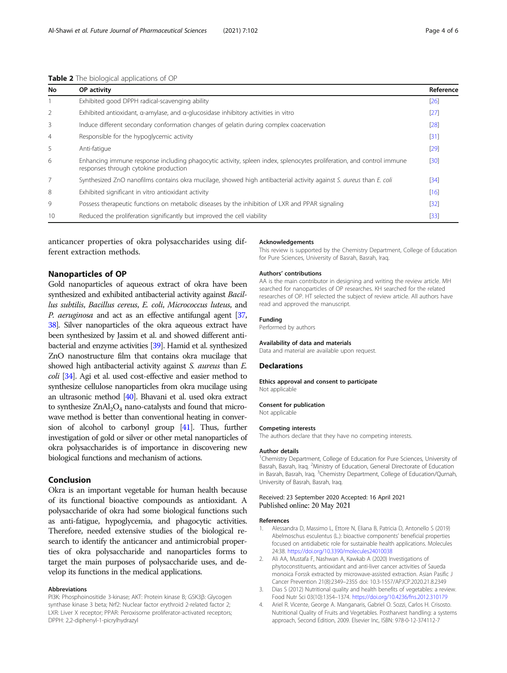<span id="page-3-0"></span>

|  |  |  | Table 2 The biological applications of OP |  |
|--|--|--|-------------------------------------------|--|
|  |  |  |                                           |  |

| No             | OP activity                                                                                                                                                   | Reference |
|----------------|---------------------------------------------------------------------------------------------------------------------------------------------------------------|-----------|
|                | Exhibited good DPPH radical-scavenging ability                                                                                                                | $[26]$    |
| 2              | Exhibited antioxidant, q-amylase, and q-glucosidase inhibitory activities in vitro                                                                            | $[27]$    |
| 3              | Induce different secondary conformation changes of gelatin during complex coacervation                                                                        | [28]      |
| $\overline{4}$ | Responsible for the hypoglycemic activity                                                                                                                     | $[31]$    |
| 5              | Anti-fatique                                                                                                                                                  | $[29]$    |
| 6              | Enhancing immune response including phagocytic activity, spleen index, splenocytes proliferation, and control immune<br>responses through cytokine production | $[30]$    |
| 7              | Synthesized ZnO nanofilms contains okra mucilage, showed high antibacterial activity against S. aureus than E. coli                                           | $[34]$    |
| 8              | Exhibited significant in vitro antioxidant activity                                                                                                           | $[16]$    |
| 9              | Possess therapeutic functions on metabolic diseases by the inhibition of LXR and PPAR signaling                                                               | $[32]$    |
| 10             | Reduced the proliferation significantly but improved the cell viability                                                                                       | $[33]$    |

anticancer properties of okra polysaccharides using different extraction methods.

#### Acknowledgements

This review is supported by the Chemistry Department, College of Education for Pure Sciences, University of Basrah, Basrah, Iraq.

#### Nanoparticles of OP

Gold nanoparticles of aqueous extract of okra have been synthesized and exhibited antibacterial activity against Bacillus subtilis, Bacillus cereus, E. coli, Micrococcus luteus, and P. aeruginosa and act as an effective antifungal agent [\[37](#page-4-0), [38\]](#page-4-0). Silver nanoparticles of the okra aqueous extract have been synthesized by Jassim et al. and showed different antibacterial and enzyme activities [\[39\]](#page-4-0). Hamid et al. synthesized ZnO nanostructure film that contains okra mucilage that showed high antibacterial activity against S. aureus than E. coli [\[34](#page-4-0)]. Agi et al. used cost-effective and easier method to synthesize cellulose nanoparticles from okra mucilage using an ultrasonic method [\[40\]](#page-5-0). Bhavani et al. used okra extract to synthesize  $ZnAl<sub>2</sub>O<sub>4</sub>$  nano-catalysts and found that microwave method is better than conventional heating in conversion of alcohol to carbonyl group [\[41\]](#page-5-0). Thus, further investigation of gold or silver or other metal nanoparticles of okra polysaccharides is of importance in discovering new biological functions and mechanism of actions.

#### Conclusion

Okra is an important vegetable for human health because of its functional bioactive compounds as antioxidant. A polysaccharide of okra had some biological functions such as anti-fatigue, hypoglycemia, and phagocytic activities. Therefore, needed extensive studies of the biological research to identify the anticancer and antimicrobial properties of okra polysaccharide and nanoparticles forms to target the main purposes of polysaccharide uses, and develop its functions in the medical applications.

#### Abbreviations

PI3K: Phosphoinositide 3-kinase; AKT: Protein kinase B; GSK3β: Glycogen synthase kinase 3 beta; Nrf2: Nuclear factor erythroid 2-related factor 2; LXR: Liver X receptor; PPAR: Peroxisome proliferator-activated receptors; DPPH: 2,2-diphenyl-1-picrylhydrazyl

#### Authors' contributions

AA is the main contributor in designing and writing the review article. MH searched for nanoparticles of OP researches. KH searched for the related researches of OP. HT selected the subject of review article. All authors have read and approved the manuscript.

#### Funding

Performed by authors

#### Availability of data and materials

Data and material are available upon request.

#### **Declarations**

#### Ethics approval and consent to participate Not applicable

Consent for publication

Not applicable

#### Competing interests

The authors declare that they have no competing interests.

#### Author details

<sup>1</sup>Chemistry Department, College of Education for Pure Sciences, University of Basrah, Basrah, Iraq. <sup>2</sup> Ministry of Education, General Directorate of Education in Basrah, Basrah, Iraq. <sup>3</sup>Chemistry Department, College of Education/Qurnah, University of Basrah, Basrah, Iraq.

#### Received: 23 September 2020 Accepted: 16 April 2021 Published online: 20 May 2021

#### References

- 1. Alessandra D, Massimo L, Ettore N, Eliana B, Patricia D, Antonello S (2019) Abelmoschus esculentus (L.): bioactive components' beneficial properties focused on antidiabetic role for sustainable health applications. Molecules 24:38. <https://doi.org/10.3390/molecules24010038>
- 2. Ali AA, Mustafa F, Nashwan A, Kawkab A (2020) Investigations of phytoconstituents, antioxidant and anti-liver cancer activities of Saueda monoica Forssk extracted by microwave-assisted extraction. Asian Pasific J Cancer Prevention 21(8):2349–2355 doi: 10.3‑1557/APJCP.2020.21.8.2349
- 3. Dias S (2012) Nutritional quality and health benefits of vegetables: a review. Food Nutr Sci 03(10):1354–1374. <https://doi.org/10.4236/fns.2012.310179>
- 4. Ariel R. Vicente, George A. Manganaris, Gabriel O. Sozzi, Carlos H. Crisosto. Nutritional Quality of Fruits and Vegetables. Postharvest handling: a systems approach, Second Edition, 2009. Elsevier Inc, ISBN: 978-0-12-374112-7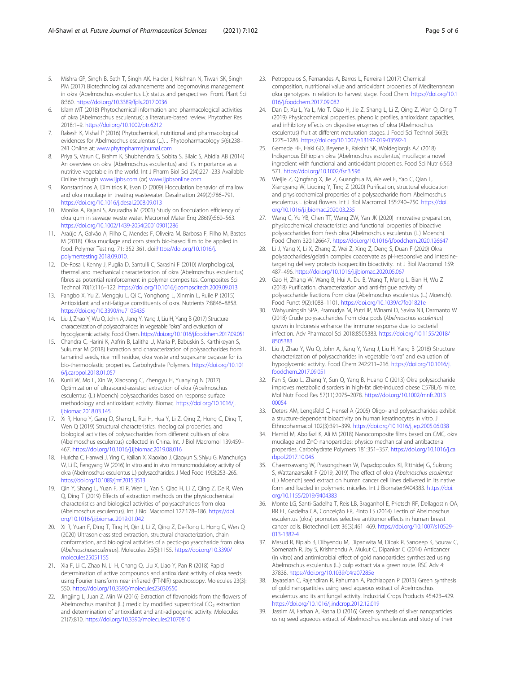- <span id="page-4-0"></span>5. Mishra GP, Singh B, Seth T, Singh AK, Halder J, Krishnan N, Tiwari SK, Singh PM (2017) Biotechnological advancements and begomovirus management in okra (Abelmoschus esculentus L.): status and perspectives. Front. Plant Sci 8:360. <https://doi.org/10.3389/fpls.2017.0036>
- 6. Islam MT (2018) Phytochemical information and pharmacological activities of okra (Abelmoschus esculentus): a literature-based review. Phytother Res 2018:1–9. <https://doi.org/10.1002/ptr.6212>
- Rakesh K, Vishal P (2016) Phytochemical, nutritional and pharmacological evidences for Abelmoschus esculentus (L.). J Phytopharmacology 5(6):238– 241 Online at: [www.phytopharmajournal.com](http://www.phytopharmajournal.com)
- 8. Priya S, Varun C, Brahm K, Shubhendra S, Sobita S, Bilalc S, Abidia AB (2014) An overview on okra (Abelmoschus esculentus) and it's importance as a nutritive vegetable in the world. Int J Pharm Biol Sci 2(4):227–233 Available Online through [www.ijpbs.com](http://www.ijpbs.com) (or) [www.ijpbsonline.com](http://www.ijpbsonline.com)
- Konstantinos A, Dimitrios K, Evan D (2009) Flocculation behavior of mallow and okra mucilage in treating wastewater. Desalination 249(2):786–791. <https://doi.org/10.1016/j.desal.2008.09.013>
- 10. Monika A, Rajani S, Anuradha M (2001) Study on flocculation efficiency of okra gum in sewage waste water. Macromol Mater Eng 286(9):560–563. [https://doi.org/10.1002/1439-2054\(20010901\)286](https://doi.org/10.1002/1439-2054(20010901)286)
- 11. Araújo A, Galvão A, Filho C, Mendes F, Oliveira M. Barbosa F, Filho M, Bastos M (2018). Okra mucilage and corn starch bio-based film to be applied in food. Polymer Testing. 71: 352 361. doi:[https://doi.org/10.1016/j.](https://doi.org/10.1016/j.polymertesting.2018.09.010) [polymertesting.2018.09.010.](https://doi.org/10.1016/j.polymertesting.2018.09.010)
- 12. De-Rosa I, Kenny J, Puglia D, Santulli C, Sarasini F (2010) Morphological, thermal and mechanical characterization of okra (Abelmoschus esculentus) fibres as potential reinforcement in polymer composites. Composites Sci Technol 70(1):116–122. <https://doi.org/10.1016/j.compscitech.2009.09.013>
- 13. Fangbo X, Yu Z, Mengqiu L, Qi C, Yonghong L, Xinmin L, Ruile P (2015) Antioxidant and anti-fatigue constituents of okra. Nutrients 7:8846–8858. <https://doi.org/10.3390/nu7105435>
- 14. Liu J, Zhao Y, Wu Q, John A, Jiang Y, Yang J, Liu H, Yang B (2017) Structure characterization of polysaccharides in vegetable "okra" and evaluation of hypoglycemic activity. Food Chem. <https://doi.org/10.1016/j.foodchem.2017.09.051>
- 15. Chandra C, Harini K, Aafrin B, Lalitha U, Maria P, Babuskin S, Karthikeyan S, Sukumar M (2018) Extraction and characterization of polysaccharides from tamarind seeds, rice mill residue, okra waste and sugarcane bagasse for its bio-thermoplastic properties. Carbohydrate Polymers. [https://doi.org/10.101](https://doi.org/10.1016/j.carbpol.2018.01.057) [6/j.carbpol.2018.01.057](https://doi.org/10.1016/j.carbpol.2018.01.057)
- 16. Kunli W, Mo L, Xin W, Xiaosong C, Zhengyu H, Yuanying N (2017) Optimization of ultrasound-assisted extraction of okra (Abelmoschus esculentus (L.) Moench) polysaccharides based on response surface methodology and antioxidant activity. Biomac. [https://doi.org/10.1016/j.](https://doi.org/10.1016/j.ijbiomac.2018.03.145) [ijbiomac.2018.03.145](https://doi.org/10.1016/j.ijbiomac.2018.03.145)
- 17. Xi R, Hong Y, Gang D, Shang L, Rui H, Hua Y, Li Z, Qing Z, Hong C, Ding T, Wen Q (2019) Structural characteristics, rheological properties, and biological activities of polysaccharides from different cultivars of okra (Abelmoschus esculentus) collected in China. Int. J Biol Macromol 139:459– 467. <https://doi.org/10.1016/j.ijbiomac.2019.08.016>
- 18. Huricha C, Hanwei J, Ying C, Kailian X, Xiaoxiao J, Qiaoyun S, Shiyu G, Manchuriga W, Li D, Fengyang W (2016) In vitro and in vivo immunomodulatory activity of okra (Abelmoschus esculentus L.) polysaccharides. J Med Food 19(3):253–265. <https://doi.org/10.1089/jmf.2015.3513>
- 19. Qin Y, Shang L, Yuan F, Xi R, Wen L, Yan S, Qiao H, Li Z, Qing Z, De R, Wen Q, Ding T (2019) Effects of extraction methods on the physicochemical characteristics and biological activities of polysaccharides from okra (Abelmoschus esculentus). Int J Biol Macromol 127:178–186. [https://doi.](https://doi.org/10.1016/j.ijbiomac.2019.01.042) [org/10.1016/j.ijbiomac.2019.01.042](https://doi.org/10.1016/j.ijbiomac.2019.01.042)
- 20. Xi R, Yuan F, Ding T, Ting H, Qin J, Li Z, Qing Z, De-Rong L, Hong C, Wen Q (2020) Ultrasonic-assisted extraction, structural characterization, chain conformation, and biological activities of a pectic-polysaccharide from okra (Abelmoschusesculentus). Molecules 25(5):1155. [https://doi.org/10.3390/](https://doi.org/10.3390/molecules25051155) [molecules25051155](https://doi.org/10.3390/molecules25051155)
- 21. Xia F, Li C, Zhao N, Li H, Chang Q, Liu X, Liao Y, Pan R (2018) Rapid determination of active compounds and antioxidant activity of okra seeds using Fourier transform near infrared (FT-NIR) spectroscopy. Molecules 23(3): 550. <https://doi.org/10.3390/molecules23030550>
- 22. Jingjing L, Juan Z, Min W (2016) Extraction of flavonoids from the flowers of Abelmoschus manihot (L.) medic by modified supercritical  $CO<sub>2</sub>$  extraction and determination of antioxidant and anti-adipogenic activity. Molecules 21(7):810. <https://doi.org/10.3390/molecules21070810>
- 23. Petropoulos S, Fernandes A, Barros L, Ferreira I (2017) Chemical composition, nutritional value and antioxidant properties of Mediterranean okra genotypes in relation to harvest stage. Food Chem. [https://doi.org/10.1](https://doi.org/10.1016/j.foodchem.2017.09.082) [016/j.foodchem.2017.09.082](https://doi.org/10.1016/j.foodchem.2017.09.082)
- 24. Dan D, Xu L, Ya L, Mo T, Qiao H, Jie Z, Shang L, Li Z, Qing Z, Wen Q, Ding T (2019) Physicochemical properties, phenolic profiles, antioxidant capacities, and inhibitory effects on digestive enzymes of okra (Abelmoschus esculentus) fruit at different maturation stages. J Food Sci Technol 56(3): 1275–1286. <https://doi.org/10.1007/s13197-019-03592-1>
- 25. Gemede HF, Haki GD, Beyene F, Rakshit SK, Woldegiorgis AZ (2018) Indigenous Ethiopian okra (Abelmoschus esculentus) mucilage: a novel ingredient with functional and antioxidant properties. Food Sci Nutr 6:563– 571. <https://doi.org/10.1002/fsn3.596>
- 26. Weijie Z, Qingfang X, Jie Z, Guanghua M, Weiwei F, Yao C, Qian L, Xiangyang W, Liuqing Y, Ting Z (2020) Purification, structural elucidation and physicochemical properties of a polysaccharide from Abelmoschus esculentus L (okra) flowers. Int J Biol Macromol 155:740–750. [https://doi.](https://doi.org/10.1016/j.ijbiomac.2020.03.235) [org/10.1016/j.ijbiomac.2020.03.235](https://doi.org/10.1016/j.ijbiomac.2020.03.235)
- 27. Wang C, Yu YB, Chen TT, Wang ZW, Yan JK (2020) Innovative preparation, physicochemical characteristics and functional properties of bioactive polysaccharides from fresh okra (Abelmoschus esculentus (L.) Moench). Food Chem 320:126647. <https://doi.org/10.1016/j.foodchem.2020.126647>
- 28. Li J, Yang X, Li X, Zhang Z, Wei Z, Xing Z, Deng S, Duan F (2020) Okra polysaccharides/gelatin complex coacervate as pH-responsive and intestinetargeting delivery protects isoquercitin bioactivity. Int J Biol Macromol 159: 487–496. <https://doi.org/10.1016/j.ijbiomac.2020.05.067>
- 29. Gao H, Zhang W, Wang B, Hui A, Du B, Wang T, Meng L, Bian H, Wu Z (2018) Purification, characterization and anti-fatigue activity of polysaccharide fractions from okra (Abelmoschus esculentus (L.) Moench). Food Funct 9(2):1088–1101. <https://doi.org/10.1039/c7fo01821e>
- 30. Wahyuningsih SPA, Pramudya M, Putri IP, Winarni D, Savira NII, Darmanto W (2018) Crude polysaccharides from okra pods (Abelmoschus esculentus) grown in Indonesia enhance the immune response due to bacterial infection. Adv Pharmacol Sci 2018:8505383. [https://doi.org/10.1155/2018/](https://doi.org/10.1155/2018/8505383) [8505383](https://doi.org/10.1155/2018/8505383)
- 31. Liu J, Zhao Y, Wu Q, John A, Jiang Y, Yang J, Liu H, Yang B (2018) Structure characterization of polysaccharides in vegetable "okra" and evaluation of hypoglycemic activity. Food Chem 242:211–216. [https://doi.org/10.1016/j.](https://doi.org/10.1016/j.foodchem.2017.09.051) [foodchem.2017.09.051](https://doi.org/10.1016/j.foodchem.2017.09.051)
- 32. Fan S, Guo L, Zhang Y, Sun Q, Yang B, Huang C (2013) Okra polysaccharide improves metabolic disorders in high-fat diet-induced obese C57BL/6 mice. Mol Nutr Food Res 57(11):2075–2078. [https://doi.org/10.1002/mnfr.2013](https://doi.org/10.1002/mnfr.201300054) [00054](https://doi.org/10.1002/mnfr.201300054)
- 33. Deters AM, Lengsfeld C, Hensel A (2005) Oligo- and polysaccharides exhibit a structure-dependent bioactivity on human keratinocytes in vitro. J Ethnopharmacol 102(3):391–399. <https://doi.org/10.1016/j.jep.2005.06.038>
- 34. Hamid M, Abolfazl K, Ali M (2018) Nanocomposite films based on CMC, okra mucilage and ZnO nanoparticles: physico mechanical and antibacterial properties. Carbohydrate Polymers 181:351–357. [https://doi.org/10.1016/j.ca](https://doi.org/10.1016/j.carbpol.2017.10.045) [rbpol.2017.10.045](https://doi.org/10.1016/j.carbpol.2017.10.045)
- 35. Chaemsawang W, Prasongchean W, Papadopoulos KI, Ritthidej G, Sukrong S, Wattanaarsakit P (2019, 2019) The effect of okra (Abelmoschus esculentus (L.) Moench) seed extract on human cancer cell lines delivered in its native form and loaded in polymeric micelles. Int J Biomater:9404383. [https://doi.](https://doi.org/10.1155/2019/9404383) [org/10.1155/2019/9404383](https://doi.org/10.1155/2019/9404383)
- 36. Monte LG, Santi-Gadelha T, Reis LB, Braganhol E, Prietsch RF, Dellagostin OA, RR EL, Gadelha CA, Conceição FR, Pinto LS (2014) Lectin of Abelmoschus esculentus (okra) promotes selective antitumor effects in human breast cancer cells. Biotechnol Lett 36(3):461–469. [https://doi.org/10.1007/s10529-](https://doi.org/10.1007/s10529-013-1382-4) [013-1382-4](https://doi.org/10.1007/s10529-013-1382-4)
- 37. Masud R, Biplab B, Dibyendu M, Dipanwita M, Dipak R, Sandeep K, Sourav C, Somenath R, Joy S, Krishnendu A, Mukut C, Dipankar C (2014) Anticancer (in vitro) and antimicrobial effect of gold nanoparticles synthesized using Abelmoschus esculentus (L.) pulp extract via a green route. RSC Adv 4: 37838. <https://doi.org/10.1039/c4ra07285e>
- 38. Jayaselan C, Rajendiran R, Rahuman A, Pachiappan P (2013) Green synthesis of gold nanoparticles using seed aqueous extract of Abelmoschus esculentus and its antifungal activity. Industrial Crops Products 45:423–429. <https://doi.org/10.1016/j.indcrop.2012.12.019>
- 39. Jassim M, Farhan A, Rasha D (2016) Green synthesis of silver nanoparticles using seed aqueous extract of Abelmoschus esculentus and study of their